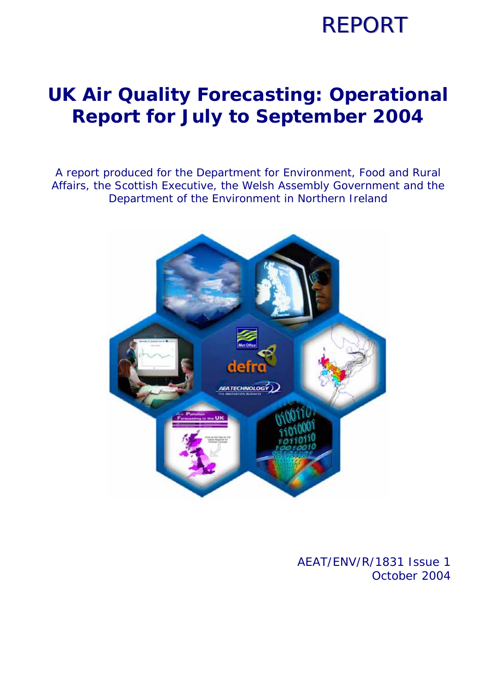### **REPORT**

### **UK Air Quality Forecasting: Operational Report for July to September 2004**

A report produced for the Department for Environment, Food and Rural Affairs, the Scottish Executive, the Welsh Assembly Government and the Department of the Environment in Northern Ireland



### AEAT/ENV/R/1831 Issue 1 October 2004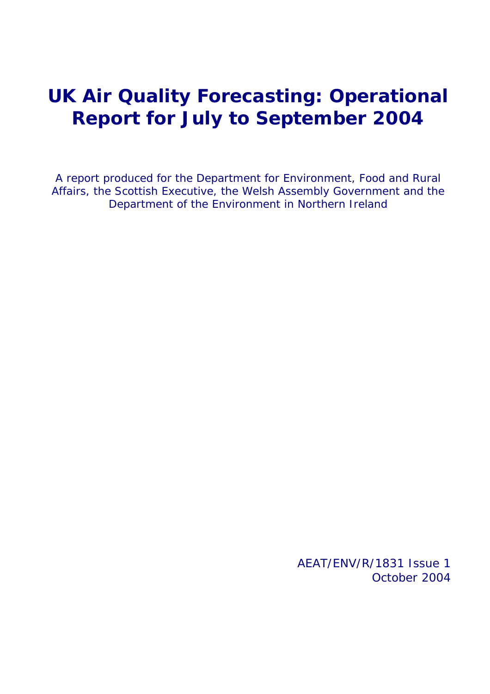### **UK Air Quality Forecasting: Operational Report for July to September 2004**

A report produced for the Department for Environment, Food and Rural Affairs, the Scottish Executive, the Welsh Assembly Government and the Department of the Environment in Northern Ireland

> AEAT/ENV/R/1831 Issue 1 October 2004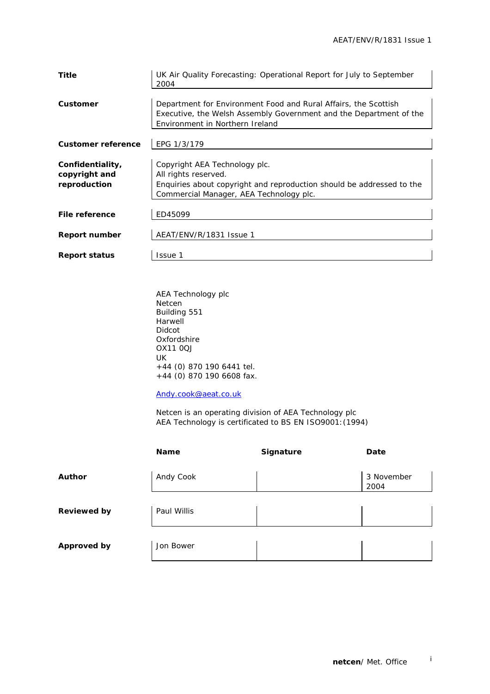| Title                     | UK Air Quality Forecasting: Operational Report for July to September<br>2004 |
|---------------------------|------------------------------------------------------------------------------|
|                           |                                                                              |
| Customer                  | Department for Environment Food and Rural Affairs, the Scottish              |
|                           | Executive, the Welsh Assembly Government and the Department of the           |
|                           | Environment in Northern Ireland                                              |
|                           |                                                                              |
| <b>Customer reference</b> | EPG 1/3/179                                                                  |
|                           |                                                                              |
| Confidentiality,          | Copyright AEA Technology plc.                                                |
| copyright and             | All rights reserved.                                                         |
| reproduction              | Enquiries about copyright and reproduction should be addressed to the        |
|                           | Commercial Manager, AEA Technology plc.                                      |
|                           |                                                                              |
| File reference            | ED45099                                                                      |
|                           |                                                                              |
| <b>Report number</b>      | AEAT/ENV/R/1831 Issue 1                                                      |
|                           |                                                                              |
| <b>Report status</b>      | <b>Issue 1</b>                                                               |
|                           |                                                                              |

AEA Technology plc Netcen Building 551 **Harwell** Didcot Oxfordshire OX11 0QJ UK +44 (0) 870 190 6441 tel. +44 (0) 870 190 6608 fax.

Andy.cook@aeat.co.uk

 Netcen is an operating division of AEA Technology plc AEA Technology is certificated to BS EN ISO9001:(1994)

|                    | <b>Name</b> | Signature | Date               |
|--------------------|-------------|-----------|--------------------|
| <b>Author</b>      | Andy Cook   |           | 3 November<br>2004 |
| <b>Reviewed by</b> | Paul Willis |           |                    |
| <b>Approved by</b> | Jon Bower   |           |                    |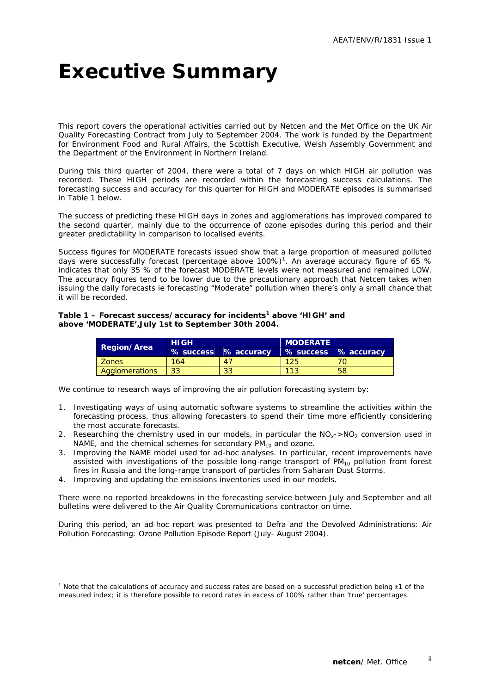### **Executive Summary**

This report covers the operational activities carried out by Netcen and the Met Office on the UK Air Quality Forecasting Contract from July to September 2004. The work is funded by the Department for Environment Food and Rural Affairs, the Scottish Executive, Welsh Assembly Government and the Department of the Environment in Northern Ireland.

During this third quarter of 2004, there were a total of 7 days on which HIGH air pollution was recorded. These HIGH periods are recorded within the forecasting success calculations. The forecasting success and accuracy for this quarter for HIGH and MODERATE episodes is summarised in Table 1 below.

The success of predicting these HIGH days in zones and agglomerations has improved compared to the second quarter, mainly due to the occurrence of ozone episodes during this period and their greater predictability in comparison to localised events.

Success figures for MODERATE forecasts issued show that a large proportion of measured polluted days were successfully forecast (percentage above 100%)<sup>1</sup>. An average accuracy figure of 65 % indicates that only 35 % of the forecast MODERATE levels were not measured and remained LOW. The accuracy figures tend to be lower due to the precautionary approach that Netcen takes when issuing the daily forecasts ie forecasting "Moderate" pollution when there's only a small chance that it will be recorded.

#### Table 1 – Forecast success/accuracy for incidents<sup>1</sup> above 'HIGH' and **above 'MODERATE',July 1st to September 30th 2004.**

| <b>Region/Area</b> | <b>HIGH</b> |                      | <b>MODERATE</b> |                      |  |  |  |
|--------------------|-------------|----------------------|-----------------|----------------------|--|--|--|
|                    |             | % success % accuracy |                 | % success % accuracy |  |  |  |
| <b>Zones</b>       | 164         | 47                   | 125             |                      |  |  |  |
| Agglomerations     | $\sqrt{33}$ | 33                   | 113             | 58                   |  |  |  |

We continue to research ways of improving the air pollution forecasting system by:

- 1. Investigating ways of using automatic software systems to streamline the activities within the forecasting process, thus allowing forecasters to spend their time more efficiently considering the most accurate forecasts.
- 2. Researching the chemistry used in our models, in particular the  $NO<sub>x</sub>$  >NO<sub>2</sub> conversion used in NAME, and the chemical schemes for secondary  $PM_{10}$  and ozone.
- 3. Improving the NAME model used for ad-hoc analyses. In particular, recent improvements have assisted with investigations of the possible long-range transport of  $PM_{10}$  pollution from forest fires in Russia and the long-range transport of particles from Saharan Dust Storms.
- 4. Improving and updating the emissions inventories used in our models.

ł

There were no reported breakdowns in the forecasting service between July and September and all bulletins were delivered to the Air Quality Communications contractor on time.

During this period, an ad-hoc report was presented to Defra and the Devolved Administrations: Air Pollution Forecasting: Ozone Pollution Episode Report (July- August 2004).

<sup>&</sup>lt;sup>1</sup> Note that the calculations of accuracy and success rates are based on a successful prediction being  $\pm$ 1 of the measured index; it is therefore possible to record rates in excess of 100% rather than 'true' percentages.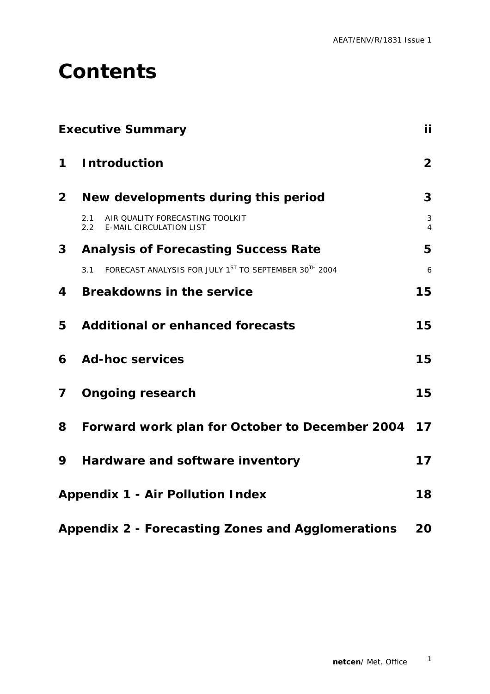### **Contents**

|                | <b>Executive Summary</b>                                                                  | iί             |
|----------------|-------------------------------------------------------------------------------------------|----------------|
| 1              | <b>Introduction</b>                                                                       | $\overline{2}$ |
| $\overline{2}$ | New developments during this period                                                       | 3              |
|                | 2.1<br>AIR QUALITY FORECASTING TOOLKIT<br><b>E-MAIL CIRCULATION LIST</b><br>$2.2^{\circ}$ | 3<br>4         |
| 3 <sup>1</sup> | <b>Analysis of Forecasting Success Rate</b>                                               | 5              |
|                | FORECAST ANALYSIS FOR JULY 1ST TO SEPTEMBER 30TH 2004<br>3.1                              | 6              |
| 4              | <b>Breakdowns in the service</b>                                                          | 15             |
| 5              | <b>Additional or enhanced forecasts</b>                                                   | 15             |
| 6              | <b>Ad-hoc services</b>                                                                    | 15             |
| 7              | <b>Ongoing research</b>                                                                   | 15             |
| 8              | Forward work plan for October to December 2004                                            | 17             |
| 9              | Hardware and software inventory                                                           | 17             |
|                | <b>Appendix 1 - Air Pollution Index</b>                                                   | 18             |
|                | <b>Appendix 2 - Forecasting Zones and Agglomerations</b>                                  | 20             |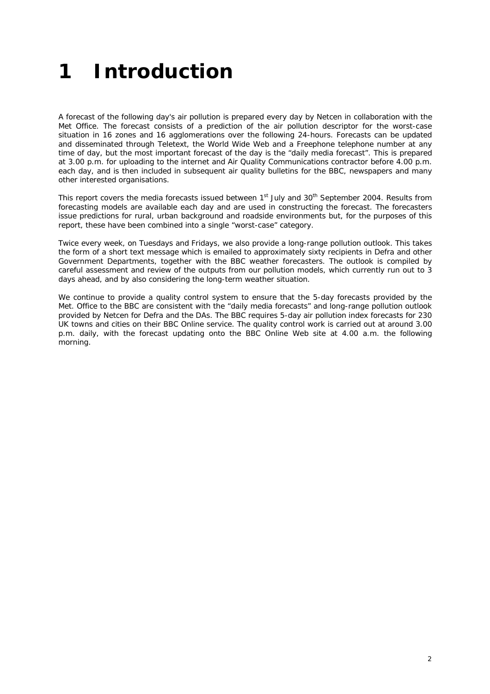# **1 Introduction**

A forecast of the following day's air pollution is prepared every day by Netcen in collaboration with the Met Office. The forecast consists of a prediction of the air pollution descriptor for the worst-case situation in 16 zones and 16 agglomerations over the following 24-hours. Forecasts can be updated and disseminated through Teletext, the World Wide Web and a Freephone telephone number at any time of day, but the most important forecast of the day is the "daily media forecast". This is prepared at 3.00 p.m. for uploading to the internet and Air Quality Communications contractor before 4.00 p.m. each day, and is then included in subsequent air quality bulletins for the BBC, newspapers and many other interested organisations.

This report covers the media forecasts issued between 1<sup>st</sup> July and 30<sup>th</sup> September 2004. Results from forecasting models are available each day and are used in constructing the forecast. The forecasters issue predictions for rural, urban background and roadside environments but, for the purposes of this report, these have been combined into a single "worst-case" category.

Twice every week, on Tuesdays and Fridays, we also provide a long-range pollution outlook. This takes the form of a short text message which is emailed to approximately sixty recipients in Defra and other Government Departments, together with the BBC weather forecasters. The outlook is compiled by careful assessment and review of the outputs from our pollution models, which currently run out to 3 days ahead, and by also considering the long-term weather situation.

We continue to provide a quality control system to ensure that the 5-day forecasts provided by the Met. Office to the BBC are consistent with the "daily media forecasts" and long-range pollution outlook provided by Netcen for Defra and the DAs. The BBC requires 5-day air pollution index forecasts for 230 UK towns and cities on their BBC Online service. The quality control work is carried out at around 3.00 p.m. daily, with the forecast updating onto the BBC Online Web site at 4.00 a.m. the following morning.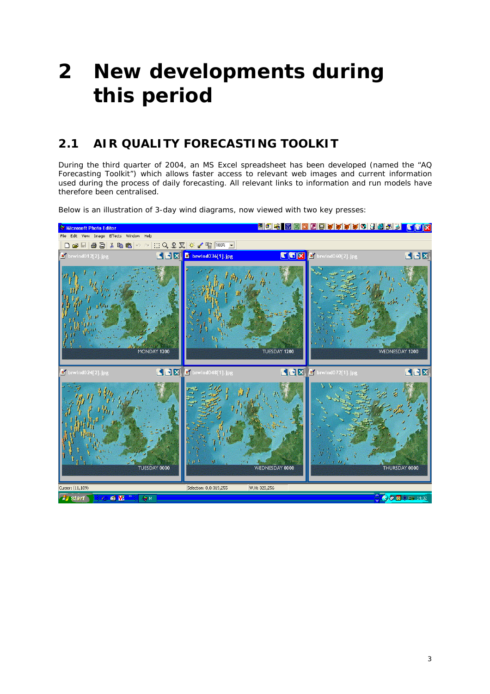# **2 New developments during this period**

### **2.1 AIR QUALITY FORECASTING TOOLKIT**

During the third quarter of 2004, an MS Excel spreadsheet has been developed (named the "AQ Forecasting Toolkit") which allows faster access to relevant web images and current information used during the process of daily forecasting. All relevant links to information and run models have therefore been centralised.

Below is an illustration of 3-day wind diagrams, now viewed with two key presses:

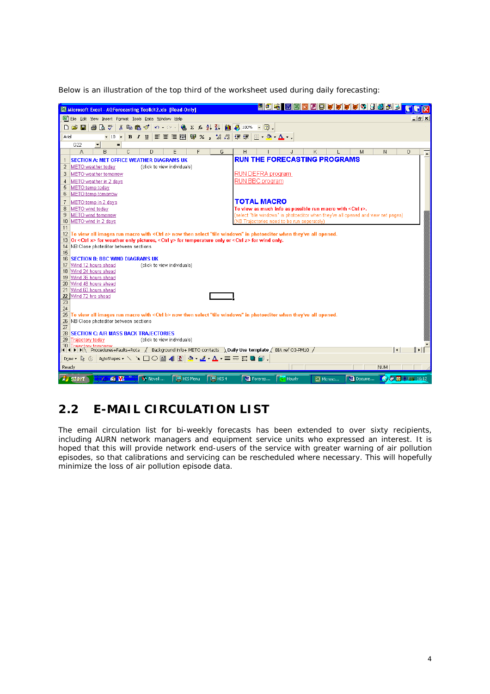Below is an illustration of the top third of the worksheet used during daily forecasting:



### **2.2 E-MAIL CIRCULATION LIST**

The email circulation list for bi-weekly forecasts has been extended to over sixty recipients, including AURN network managers and equipment service units who expressed an interest. It is hoped that this will provide network end-users of the service with greater warning of air pollution episodes, so that calibrations and servicing can be rescheduled where necessary. This will hopefully minimize the loss of air pollution episode data.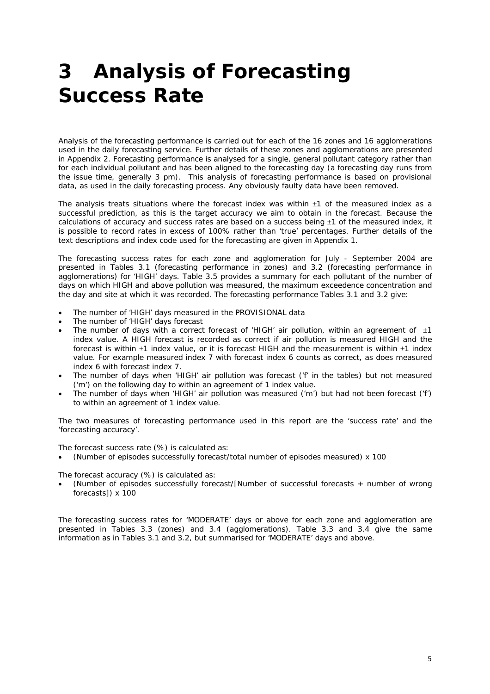# **3 Analysis of Forecasting Success Rate**

Analysis of the forecasting performance is carried out for each of the 16 zones and 16 agglomerations used in the daily forecasting service. Further details of these zones and agglomerations are presented in Appendix 2. Forecasting performance is analysed for a single, general pollutant category rather than for each individual pollutant and has been aligned to the forecasting day (a forecasting day runs from the issue time, generally 3 pm). This analysis of forecasting performance is based on provisional data, as used in the daily forecasting process. Any obviously faulty data have been removed.

The analysis treats situations where the forecast index was within  $\pm 1$  of the measured index as a successful prediction, as this is the target accuracy we aim to obtain in the forecast. Because the calculations of accuracy and success rates are based on a success being ±1 of the measured index, it is possible to record rates in excess of 100% rather than 'true' percentages. Further details of the text descriptions and index code used for the forecasting are given in Appendix 1.

The forecasting success rates for each zone and agglomeration for July - September 2004 are presented in Tables 3.1 (forecasting performance in zones) and 3.2 (forecasting performance in agglomerations) for 'HIGH' days. Table 3.5 provides a summary for each pollutant of the number of days on which HIGH and above pollution was measured, the maximum exceedence concentration and the day and site at which it was recorded. The forecasting performance Tables 3.1 and 3.2 give:

- The number of 'HIGH' days measured in the PROVISIONAL data
- The number of 'HIGH' days forecast
- The number of days with a correct forecast of 'HIGH' air pollution, within an agreement of  $\pm 1$ index value. A HIGH forecast is recorded as correct if air pollution is measured HIGH and the forecast is within ±1 index value, or it is forecast HIGH and the measurement is within ±1 index value. For example measured index 7 with forecast index 6 counts as correct, as does measured index 6 with forecast index 7.
- The number of days when 'HIGH' air pollution was forecast ('f' in the tables) but not measured ('m') on the following day to within an agreement of 1 index value.
- The number of days when 'HIGH' air pollution was measured ('m') but had not been forecast ('f') to within an agreement of 1 index value.

The two measures of forecasting performance used in this report are the 'success rate' and the 'forecasting accuracy'.

The forecast success rate (%) is calculated as:

• (Number of episodes successfully forecast/total number of episodes measured) x 100

The forecast accuracy (%) is calculated as:

• (Number of episodes successfully forecast/[Number of successful forecasts + number of wrong forecasts]) x 100

The forecasting success rates for 'MODERATE' days or above for each zone and agglomeration are presented in Tables 3.3 (zones) and 3.4 (agglomerations). Table 3.3 and 3.4 give the same information as in Tables 3.1 and 3.2, but summarised for 'MODERATE' days and above.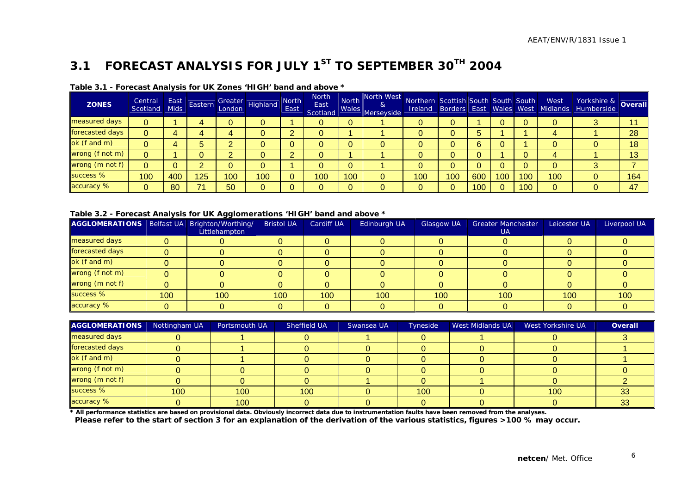### **3.1 FORECAST ANALYSIS FOR JULY 1ST TO SEPTEMBER 30TH 2004**

| <b>ZONES</b>    | Central<br>Scotland | East<br><b>Mids</b> | Eastern |     | Greater<br>London Highland | <b>North</b><br>East | <b>North</b><br>East<br>Scotland | North<br><b>Wales</b> | North West<br>8 <sub>l</sub><br>Merseyside | Northern Scottish South South South |     |     |     |     | West | Vorkshire & Overall<br>Ireland Borders East Wales West Midlands Humberside |     |
|-----------------|---------------------|---------------------|---------|-----|----------------------------|----------------------|----------------------------------|-----------------------|--------------------------------------------|-------------------------------------|-----|-----|-----|-----|------|----------------------------------------------------------------------------|-----|
| measured days   | 0                   |                     |         |     |                            |                      |                                  |                       |                                            |                                     |     |     |     |     |      |                                                                            |     |
| forecasted days | 0                   |                     |         |     |                            |                      |                                  |                       |                                            |                                     |     |     |     |     |      |                                                                            | 28  |
| ok (f and m)    | 0                   |                     |         |     |                            |                      |                                  |                       |                                            |                                     |     |     |     |     |      |                                                                            | 18  |
| wrong (f not m) | 0                   |                     |         |     |                            |                      |                                  |                       |                                            |                                     |     |     |     |     |      |                                                                            | 13  |
| wrong (m not f) | 0                   |                     |         |     |                            |                      |                                  |                       |                                            |                                     |     |     |     |     |      |                                                                            |     |
| success %       | 100                 | 400                 | 125     | 100 | 100                        |                      | 100                              | 100                   | 0                                          | 100                                 | 100 | 600 | 100 | 00  | 100  |                                                                            | 164 |
| accuracy %      | 0                   | 80                  |         | 50  |                            |                      |                                  | $\Omega$              |                                            |                                     |     | 100 |     | 100 |      |                                                                            | 47  |

#### **Table 3.1 - Forecast Analysis for UK Zones 'HIGH' band and above \***

#### **Table 3.2 - Forecast Analysis for UK Agglomerations 'HIGH' band and above \***

| AGGLOMERATIONS   Belfast UA   Brighton/Worthing/ |     | --<br>Littlehampton | <b>Bristol UA</b> | <b>Cardiff UA</b> | Edinburgh UA | <b>Glasgow UA</b> | <b>Greater Manchester</b><br><b>UA</b> | Leicester UA | Liverpool UA |
|--------------------------------------------------|-----|---------------------|-------------------|-------------------|--------------|-------------------|----------------------------------------|--------------|--------------|
| measured days                                    |     |                     |                   |                   |              |                   |                                        |              |              |
| forecasted days                                  |     |                     |                   |                   |              |                   |                                        |              |              |
| ok (f and m)                                     |     |                     |                   |                   |              |                   |                                        |              |              |
| wrong (f not m)                                  |     |                     |                   |                   |              |                   |                                        |              |              |
| wrong (m not f)                                  |     |                     |                   |                   |              |                   |                                        |              |              |
| success %                                        | 100 | 100                 | 100               | 100               | 100          | 100               | 100                                    | 100          | 100          |
| accuracy %                                       |     |                     |                   |                   |              |                   |                                        |              |              |

| <b>AGGLOMERATIONS</b> | Nottingham UA | Portsmouth UA | Sheffield UA | Swansea UA | Tyneside | <b>West Midlands UA</b> | West Yorkshire UA | Overall |
|-----------------------|---------------|---------------|--------------|------------|----------|-------------------------|-------------------|---------|
| measured days         |               |               |              |            |          |                         |                   |         |
| forecasted days       |               |               |              |            |          |                         |                   |         |
| ok (f and m)          |               |               |              |            |          |                         |                   |         |
| wrong (f not m)       |               |               |              |            |          |                         |                   |         |
| wrong (m not f)       |               |               |              |            |          |                         |                   |         |
| success %             | 100           | 100           | 100          |            | 100      |                         | 100               | 33      |
| accuracy %            |               | 100           |              |            |          |                         |                   |         |

**\* All performance statistics are based on provisional data. Obviously incorrect data due to instrumentation faults have been removed from the analyses.** 

 **Please refer to the start of section 3 for an explanation of the derivation of the various statistics, figures >100 % may occur.**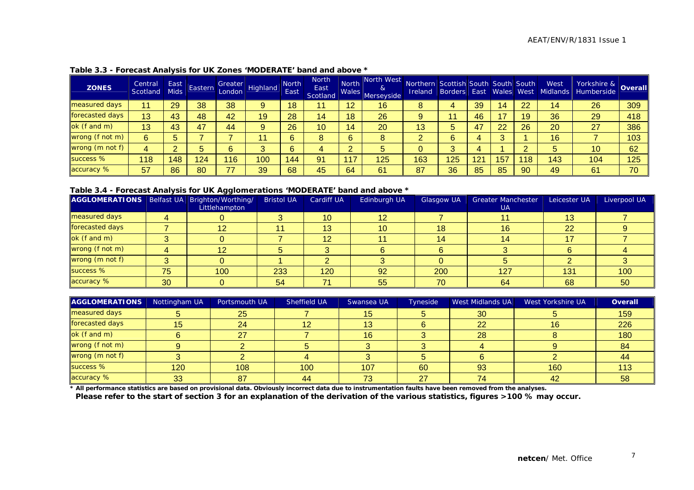| <b>ZONES</b>    | Central<br>Scotland | East<br><b>Mids</b> | Eastern | London | <b>Arn Greater</b> Highland | <b>North</b><br>East | <b>North</b><br>East<br>Scotland | <b>North</b><br>Wales | North West<br>&<br>Merseyside | Northern Scottish South South South<br>Ireland | <b>Borders East Wales West</b> |     |     |    | West<br>Midlands | Yorkshire & Overall |     |
|-----------------|---------------------|---------------------|---------|--------|-----------------------------|----------------------|----------------------------------|-----------------------|-------------------------------|------------------------------------------------|--------------------------------|-----|-----|----|------------------|---------------------|-----|
| measured days   | 11                  | 29                  | 38      | 38     | 9                           | 18                   | 11                               | 12                    | 16                            | 8                                              | 4                              | 39  | 14  | 22 | 14               | 26                  | 309 |
| forecasted days | 13                  | 43                  | 48      | 42     | 19                          | 28                   | 14                               | 18                    | 26                            |                                                | 11                             | 46  |     | 19 | 36               | 29                  | 418 |
| ok (f and m)    | 13                  | 43                  | 47      | 44     | 9                           | 26                   | 10                               | 14                    | 20                            | 13                                             | 5                              | 47  | 22  | 26 | 20 <sup>°</sup>  | 27                  | 386 |
| wrong (f not m) | 6                   |                     |         |        | 44                          | 6                    | 8                                | 6                     | 8                             |                                                | 6                              |     |     |    | 16               |                     | 103 |
| wrong (m not f) | 4                   |                     |         | 6      |                             | 6                    | 4                                | $\overline{2}$        |                               |                                                | 3                              |     |     |    | b                | 10                  | 62  |
| success %       | 118                 | 148                 | 124     | 116    | 100                         | 144                  | 91                               | 117                   | 125                           | 163                                            | 125                            | 121 | 157 | 18 | 143              | 104                 | 125 |
| accuracy %      | 57                  | 86                  | 80      | 77     | 39                          | 68                   | 45                               | 64                    | 61                            | 87                                             | 36                             | 85  | 85  | 90 | 49               | 61                  | 70  |

#### **Table 3.3 - Forecast Analysis for UK Zones 'MODERATE' band and above \***

#### **Table 3.4 - Forecast Analysis for UK Agglomerations 'MODERATE' band and above \***

| AGGLOMERATIONS   Belfast UA   Brighton/Worthing/ |    |               | <b>Bristol UA</b> | <b>Cardiff UA</b> | Edinburgh UA    | Glasgow UA | <b>Greater Manchester</b> | Leicester UA    | Liverpool UA |
|--------------------------------------------------|----|---------------|-------------------|-------------------|-----------------|------------|---------------------------|-----------------|--------------|
|                                                  |    | Littlehampton |                   |                   |                 |            | <b>UA</b>                 |                 |              |
| measured days                                    |    |               |                   | 10                | 12 <sup>1</sup> |            |                           | 13 <sup>°</sup> |              |
| forecasted days                                  |    | 12            |                   | 13                | 10              | 18         | 16                        | 22              |              |
| $ok$ (f and m)                                   |    |               |                   |                   |                 | 14         | 14                        |                 |              |
| wrong (f not m)                                  |    |               |                   |                   |                 |            |                           |                 |              |
| wrong (m not f)                                  |    |               |                   |                   |                 |            |                           |                 |              |
| success %                                        | 75 | 100           | 233               | 120               | 92              | 200        | 127                       | 131             | 100          |
| accuracy %                                       | 30 |               | 54                |                   | 55              | 70         | 64                        | 68              | 50           |

| AGGLOMERATIONS  | Nottingham UA   | Portsmouth UA | Sheffield UA | Swansea UA | Tyneside | <b>West Midlands UA</b> | West Yorkshire UA | Overall |
|-----------------|-----------------|---------------|--------------|------------|----------|-------------------------|-------------------|---------|
| measured days   |                 | 25            |              | 15         |          | 30                      |                   | 159     |
| forecasted days | 15.             | 24            | 12           | 13         |          | 22                      | 16                | 226     |
| ok (f and m)    |                 | 27            |              | 16         |          | 28                      |                   | 180     |
| wrong (f not m) |                 |               |              |            |          |                         |                   | 84      |
| wrong (m not f) |                 |               |              |            |          |                         |                   | $-44$   |
| success %       | 120             | 108           | 100          | 107        | 60       | 93                      | 160               | 113     |
| accuracy %      | 33 <sup>°</sup> | 87            | 44           | 73         | 27       | 74                      | 42                | 58      |

**\* All performance statistics are based on provisional data. Obviously incorrect data due to instrumentation faults have been removed from the analyses.** 

**Please refer to the start of section 3 for an explanation of the derivation of the various statistics, figures >100 % may occur.**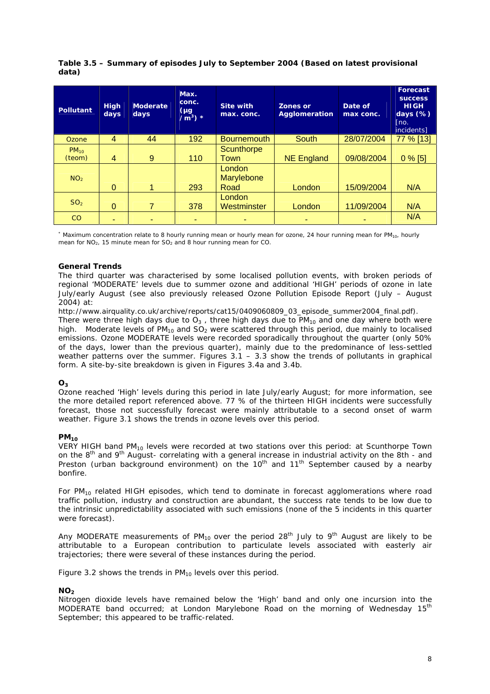| Table 3.5 - Summary of episodes July to September 2004 (Based on latest provisional |  |
|-------------------------------------------------------------------------------------|--|
| data)                                                                               |  |

| Pollutant       | <b>High</b><br>days | <b>Moderate</b><br>days | Max.<br>conc.<br>$(\mu g)$<br>$\overline{m^3}$ * | <b>Site with</b><br>max. conc. | Zones or<br>Agglomeration | Date of<br>max conc. | Forecast<br><b>SUCCESS</b><br><b>HIGH</b><br>days $(\%)$<br>[no.<br>incidents] |
|-----------------|---------------------|-------------------------|--------------------------------------------------|--------------------------------|---------------------------|----------------------|--------------------------------------------------------------------------------|
| Ozone           | $\overline{4}$      | 44                      | 192                                              | <b>Bournemouth</b>             | South                     | 28/07/2004           | 77 % [13]                                                                      |
| $PM_{10}$       |                     |                         |                                                  | Scunthorpe                     |                           |                      |                                                                                |
| (teom)          | $\overline{4}$      | 9                       | 110                                              | Town                           | <b>NE England</b>         | 09/08/2004           | $0\%$ [5]                                                                      |
|                 |                     |                         |                                                  | London                         |                           |                      |                                                                                |
| NO <sub>2</sub> |                     |                         |                                                  | Marylebone                     |                           |                      |                                                                                |
|                 | $\Omega$            | 1                       | 293                                              | Road                           | London                    | 15/09/2004           | N/A                                                                            |
|                 |                     |                         |                                                  | London                         |                           |                      |                                                                                |
| SO <sub>2</sub> | $\Omega$            |                         | 378                                              | Westminster                    | London                    | 11/09/2004           | N/A                                                                            |
| CO              |                     |                         |                                                  |                                |                           |                      | N/A                                                                            |

\* Maximum concentration relate to 8 hourly running mean or hourly mean for ozone, 24 hour running mean for PM<sub>10</sub>, hourly mean for  $NO<sub>2</sub>$ , 15 minute mean for  $SO<sub>2</sub>$  and 8 hour running mean for CO.

#### **General Trends**

The third quarter was characterised by some localised pollution events, with broken periods of regional 'MODERATE' levels due to summer ozone and additional 'HIGH' periods of ozone in late July/early August (see also previously released Ozone Pollution Episode Report (July – August 2004) at:

http://www.airquality.co.uk/archive/reports/cat15/0409060809\_03\_episode\_summer2004\_final.pdf). There were three high days due to  $O_3$ , three high days due to  $PM_{10}$  and one day where both were high. Moderate levels of PM<sub>10</sub> and SO<sub>2</sub> were scattered through this period, due mainly to localised emissions. Ozone MODERATE levels were recorded sporadically throughout the quarter (only 50%

of the days, lower than the previous quarter), mainly due to the predominance of less-settled weather patterns over the summer. Figures  $3.1 - 3.3$  show the trends of pollutants in graphical form. A site-by-site breakdown is given in Figures 3.4a and 3.4b.

#### **O3**

Ozone reached 'High' levels during this period in late July/early August; for more information, see the more detailed report referenced above. 77 % of the thirteen HIGH incidents were successfully forecast, those not successfully forecast were mainly attributable to a second onset of warm weather. Figure 3.1 shows the trends in ozone levels over this period.

#### **PM10**

VERY HIGH band  $PM_{10}$  levels were recorded at two stations over this period: at Scunthorpe Town on the 8<sup>th</sup> and 9<sup>th</sup> August- correlating with a general increase in industrial activity on the 8th - and Preston (urban background environment) on the  $10<sup>th</sup>$  and  $11<sup>th</sup>$  September caused by a nearby bonfire.

For  $PM_{10}$  related HIGH episodes, which tend to dominate in forecast agglomerations where road traffic pollution, industry and construction are abundant, the success rate tends to be low due to the intrinsic unpredictability associated with such emissions (none of the 5 incidents in this quarter were forecast).

Any MODERATE measurements of  $PM_{10}$  over the period 28<sup>th</sup> July to 9<sup>th</sup> August are likely to be attributable to a European contribution to particulate levels associated with easterly air trajectories; there were several of these instances during the period.

Figure 3.2 shows the trends in  $PM_{10}$  levels over this period.

#### $NO<sub>2</sub>$

Nitrogen dioxide levels have remained below the 'High' band and only one incursion into the MODERATE band occurred; at London Marylebone Road on the morning of Wednesday 15<sup>th</sup> September; this appeared to be traffic-related.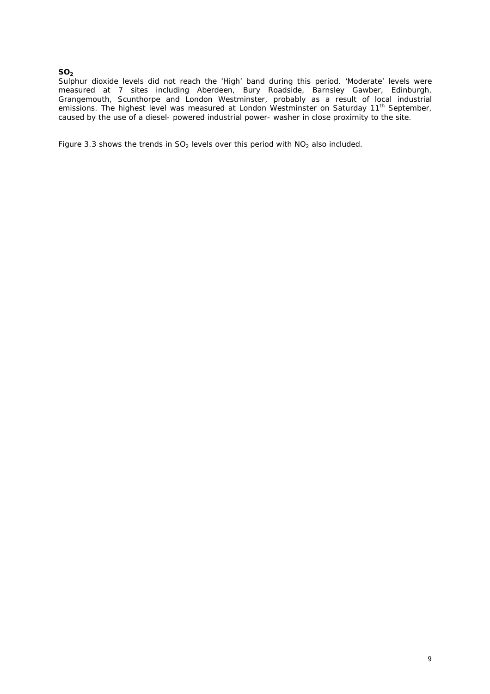#### **SO<sub>2</sub>**

Sulphur dioxide levels did not reach the 'High' band during this period. 'Moderate' levels were measured at 7 sites including Aberdeen, Bury Roadside, Barnsley Gawber, Edinburgh, Grangemouth, Scunthorpe and London Westminster, probably as a result of local industrial emissions. The highest level was measured at London Westminster on Saturday 11<sup>th</sup> September, caused by the use of a diesel- powered industrial power- washer in close proximity to the site.

Figure 3.3 shows the trends in  $SO_2$  levels over this period with  $NO_2$  also included.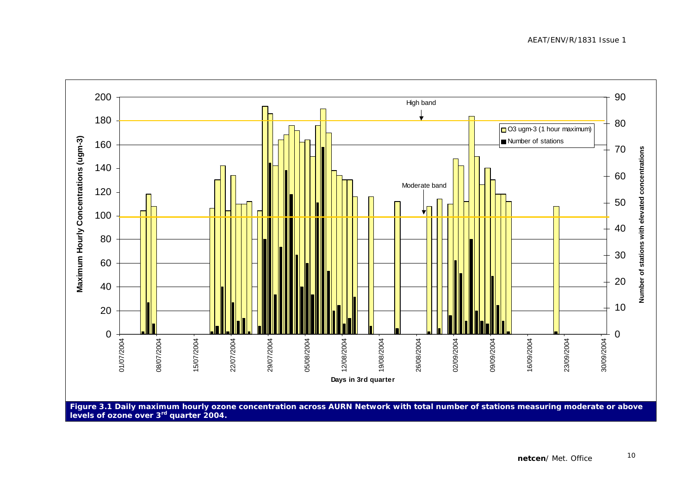AEAT/ENV/R/1831 Issue 1

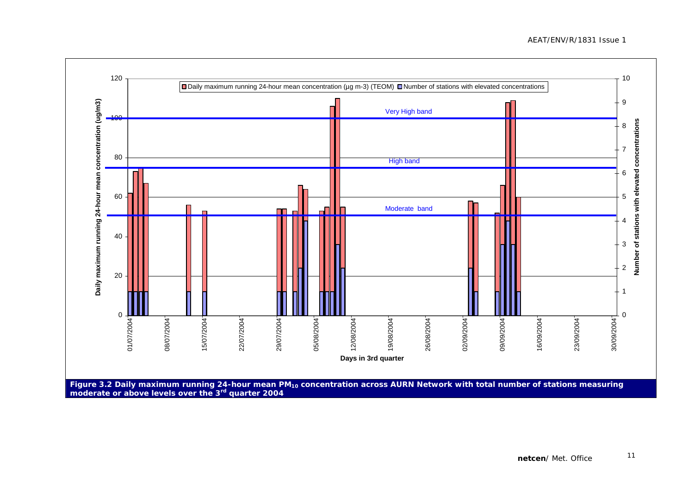

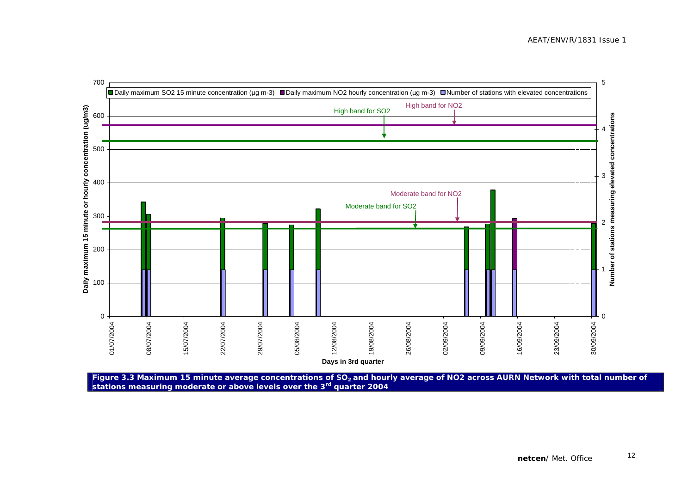

Figure 3.3 Maximum 15 minute average concentrations of SO<sub>2</sub> and hourly average of NO2 across AURN Network with total number of **stations measuring moderate or above levels over the 3rd quarter 2004**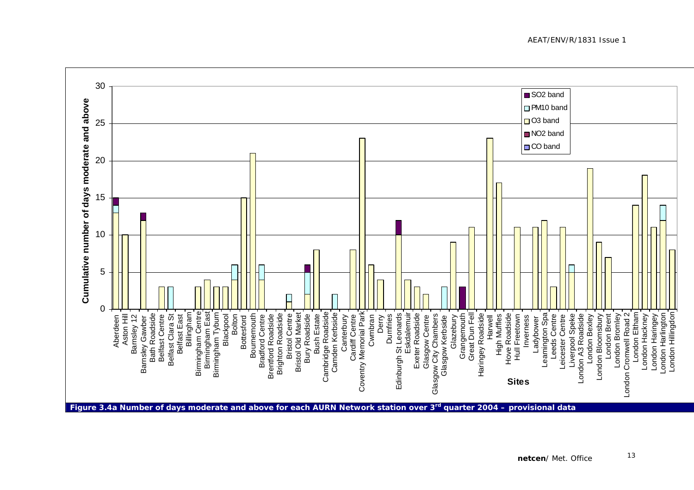30SO<sub>2</sub> band Cumulative number of days moderate and above **Cumulative number of days moderate and above** □ PM10 band O3 band 25 ■ NO<sub>2</sub> band CO band 2015 105 $\Omega$ Glazebury<br>Grangemouth<br>Great Dun Fell<br>Haringey Roadside Barnsley Gawber<br>Bath Roadside<br>Belfast Centre T Glasgow Centre ∫<br>Glasgow City Chambers<br>Glasgow Kerbside ∫ Belfast Clara St<sup>-</sup><br>Belfast East Aston Hill<br>Barnsley 12 London Hillingdon Billingham Birmingham Centre Birmingham East<br>Birmingham Tyburn **Bristol Centre** Cambridge Roadside Camden Kerbside Coventry Memorial Park Coventry Memorial Park Edinburgh St Leonards Eskdalemuir Exeter Roadside Leamington Spa London Cromwell Road 2 London Eltham Birmingham Centre Birmingham East **Blackpool** Bolton Bournemouth **Bradford Centre Brighton Roadside Bristol Old Market Bury Roadside** Cambridge Roadside Cardiff Centre Eskdalemuir High Muffles Hove Roadside Hull Freetown Leeds Centre Leicester Centre Liverpool Speke London A3 Roadside London Bloomsbury **London Brent** London Hackney London Haringey ondon Harlington Birmingham Tyburn **Brentford Roadside** Brighton Roadside Bristol Old Market **Bush Estate** Camden Kerbside Cwmbran Derry Dumfries Edinburgh St Leonards Great Dun Fell Haringey Roadside Harwell Leamington Spa London Bexley London Bromley London Bromley London Cromwell Road 2 London Eltham London Harlington London Hillingdon Aberdeen Aston Hill Bath Roadside Belfast Clara St Bottesford Bournemouth Bristol Centre Bury Roadside Bush Estate Canterbury Dumfries Exeter Roadside Glasgow City Chambers Grangemouth High Muffles Hove Roadside Inverness Leeds Centre Liverpool Speke London A3 Roadside London Bexley London Bloomsbury London Brent London Hackney London Haringey Aberdeen Barnsley 12 Belfast Centre Belfast East Bradford Centre Brentford Roadside Canterbury Cardiff Centre Cwmbran Glasgow Centre Hull Freetown Inverness Ladybower Leicester Centre Barnsley Gawber Bottesford Glasgow Kerbside Ladybower **Sites**

**Figure 3.4a Number of days moderate and above for each AURN Network station over 3rd quarter 2004 – provisional data**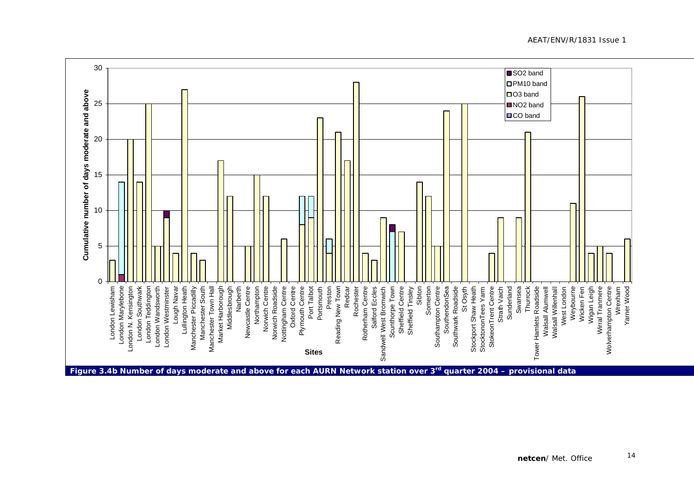30SO<sub>2</sub> band PM10 band Cumulative number of days moderate and above **Cumulative number of days moderate and above**  $\Box$  O3 band 25NO2 band **OCO** band 2015105 $\Omega$ London Southwark<br>London Teddington<br>London Wandsworth<br>London Westminster Lough Navar<br>| Lullington Heath<br>| Manchester Piccadilly Sheffield Centre<sup>1</sup><br>Sheffield Tinsley Strath Vaich<sup>-</sup><br>Sunderland Sibton London Marylebone Manchester South Manchester Town Hall Market Harborough Middlesbrough Narberth Newcastle Centre Northampton Norwich Centre Nottingham Centre Oxford Centre Plymouth Centre Somerton Southampton Centre SouthendonSea St Osyth Stockport Shaw Heath StokeonTrent Centre Wigan Leigh Wirral Tranmere **Wolverhampton Centre** Wrexham Yarner Wood London Lewisham London N. Kensington Norwich Roadside Port Talbot Rotherham Centre Scunthorpe Town Southwark Roadside Swansea Tower Hamlets Roadside<br>Walsall Alumwell Walsall Willenhall Weybourne London Lewisham London Marylebone London Southwark London Teddington Lough Navar Manchester Piccadilly Manchester Town Hall Market Harborough Middlesbrough Newcastle Centre Norwich Centre Norwich Roadside Nottingham Centre Oxford Centre Portsmouth Preston<br>w Town<br>Redcar Reading New Town Rochester Rochester Rotherham Centre Salford Eccles Sandwell West Bromwich Sheffield Tinsley Southampton Centre SouthendonSea Southwark Roadside StocktononTees Yarm StokeonTrent Centre Swansea Thurrock Thurrock Tower Hamlets Roadside West London Wicken Fen London N. Kensington London Wandsworth London Westminster Lullington Heath Manchester South Narberth Northampton Plymouth Centre Port Talbot Portsmouth Salford Eccles Sandwell West Bromwich Scunthorpe Town Sheffield Centre Somerton Stockport Shaw Heath StocktononTees Yarm Strath Vaich Sunderland Walsall Alumwell Walsall Willenhall West London Weybourne Wicken Fen Wigan Leigh Wirral Tranmere Wolverhampton Centre Wrexham Yarner Wood **Sites**

**Figure 3.4b Number of days moderate and above for each AURN Network station over 3rd quarter 2004 – provisional data** 

AEAT/ENV/R/1831 Issue 1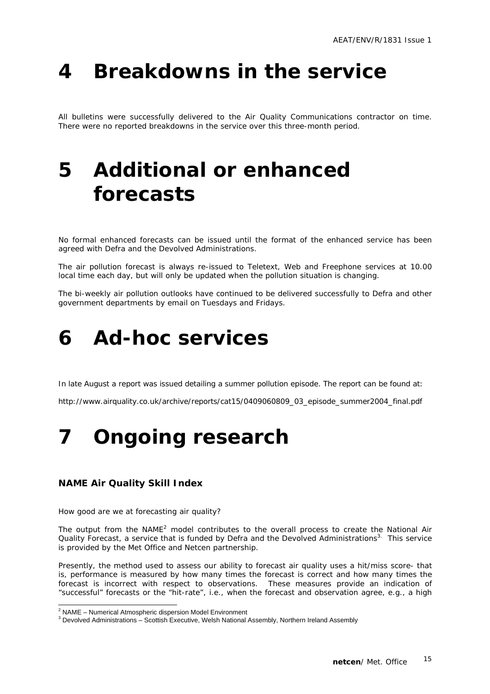### **4 Breakdowns in the service**

All bulletins were successfully delivered to the Air Quality Communications contractor on time. There were no reported breakdowns in the service over this three-month period.

### **5 Additional or enhanced forecasts**

No formal enhanced forecasts can be issued until the format of the enhanced service has been agreed with Defra and the Devolved Administrations.

The air pollution forecast is always re-issued to Teletext, Web and Freephone services at 10.00 local time each day, but will only be updated when the pollution situation is changing.

The bi-weekly air pollution outlooks have continued to be delivered successfully to Defra and other government departments by email on Tuesdays and Fridays.

### **6 Ad-hoc services**

In late August a report was issued detailing a summer pollution episode. The report can be found at:

http://www.airquality.co.uk/archive/reports/cat15/0409060809\_03\_episode\_summer2004\_final.pdf

### **7 Ongoing research**

#### **NAME Air Quality Skill Index**

How good are we at forecasting air quality?

The output from the NAME<sup>2</sup> model contributes to the overall process to create the National Air Quality Forecast, a service that is funded by Defra and the Devolved Administrations<sup>3.</sup> This service is provided by the Met Office and Netcen partnership.

Presently, the method used to assess our ability to forecast air quality uses a hit/miss score- that is, performance is measured by how many times the forecast is correct and how many times the forecast is incorrect with respect to observations. These measures provide an indication of "successful" forecasts or the "hit-rate", i.e., when the forecast and observation agree, e.g., a high

<sup>&</sup>lt;sup>2</sup><br>NAME – Numerical Atmospheric dispersion Model Environment<br><sup>3</sup> Develved Administrations – Sosttish Expertive Welsh National

BED CONNER CONDUCTS ARREST AND THE LIGHT STATES THE SECTION OF SECTION ASSEMBLY DEVIDED TO A SSEMBLY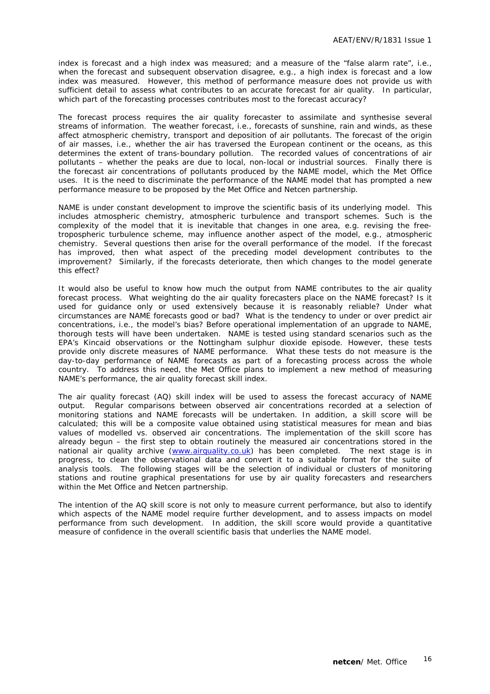index is forecast and a high index was measured; and a measure of the "false alarm rate", i.e., when the forecast and subsequent observation disagree, e.g., a high index is forecast and a low index was measured. However, this method of performance measure does not provide us with sufficient detail to assess what contributes to an accurate forecast for air quality. In particular, which part of the forecasting processes contributes most to the forecast accuracy?

The forecast process requires the air quality forecaster to assimilate and synthesise several streams of information. The weather forecast, i.e., forecasts of sunshine, rain and winds, as these affect atmospheric chemistry, transport and deposition of air pollutants. The forecast of the origin of air masses, i.e., whether the air has traversed the European continent or the oceans, as this determines the extent of trans-boundary pollution. The recorded values of concentrations of air pollutants – whether the peaks are due to local, non-local or industrial sources. Finally there is the forecast air concentrations of pollutants produced by the NAME model, which the Met Office uses. It is the need to discriminate the performance of the NAME model that has prompted a new performance measure to be proposed by the Met Office and Netcen partnership.

NAME is under constant development to improve the scientific basis of its underlying model. This includes atmospheric chemistry, atmospheric turbulence and transport schemes. Such is the complexity of the model that it is inevitable that changes in one area, e.g. revising the freetropospheric turbulence scheme, may influence another aspect of the model, e.g., atmospheric chemistry. Several questions then arise for the overall performance of the model. If the forecast has improved, then what aspect of the preceding model development contributes to the improvement? Similarly, if the forecasts deteriorate, then which changes to the model generate this effect?

It would also be useful to know how much the output from NAME contributes to the air quality forecast process. What weighting do the air quality forecasters place on the NAME forecast? Is it used for guidance only or used extensively because it is reasonably reliable? Under what circumstances are NAME forecasts good or bad? What is the tendency to under or over predict air concentrations, i.e., the model's bias? Before operational implementation of an upgrade to NAME, thorough tests will have been undertaken. NAME is tested using standard scenarios such as the EPA's Kincaid observations or the Nottingham sulphur dioxide episode. However, these tests provide only discrete measures of NAME performance. What these tests do not measure is the day-to-day performance of NAME forecasts as part of a forecasting process across the whole country. To address this need, the Met Office plans to implement a new method of measuring NAME's performance, the air quality forecast skill index.

The air quality forecast (AQ) skill index will be used to assess the forecast accuracy of NAME output. Regular comparisons between observed air concentrations recorded at a selection of monitoring stations and NAME forecasts will be undertaken. In addition, a skill score will be calculated; this will be a composite value obtained using statistical measures for mean and bias values of modelled vs. observed air concentrations. The implementation of the skill score has already begun – the first step to obtain routinely the measured air concentrations stored in the national air quality archive (www.airquality.co.uk) has been completed. The next stage is in progress, to clean the observational data and convert it to a suitable format for the suite of analysis tools. The following stages will be the selection of individual or clusters of monitoring stations and routine graphical presentations for use by air quality forecasters and researchers within the Met Office and Netcen partnership.

The intention of the AQ skill score is not only to measure current performance, but also to identify which aspects of the NAME model require further development, and to assess impacts on model performance from such development. In addition, the skill score would provide a quantitative measure of confidence in the overall scientific basis that underlies the NAME model.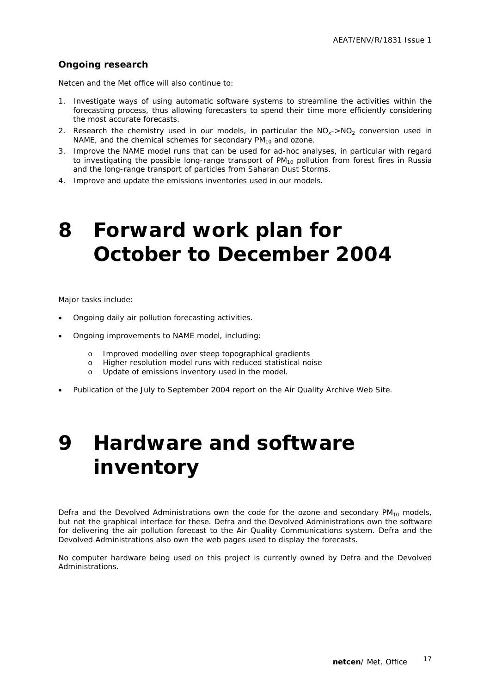#### **Ongoing research**

Netcen and the Met office will also continue to:

- 1. Investigate ways of using automatic software systems to streamline the activities within the forecasting process, thus allowing forecasters to spend their time more efficiently considering the most accurate forecasts.
- 2. Research the chemistry used in our models, in particular the  $NO<sub>x</sub>$ -NO<sub>2</sub> conversion used in NAME, and the chemical schemes for secondary  $PM_{10}$  and ozone.
- 3. Improve the NAME model runs that can be used for ad-hoc analyses, in particular with regard to investigating the possible long-range transport of  $PM_{10}$  pollution from forest fires in Russia and the long-range transport of particles from Saharan Dust Storms.
- 4. Improve and update the emissions inventories used in our models.

### **8 Forward work plan for October to December 2004**

Major tasks include:

- Ongoing daily air pollution forecasting activities.
- Ongoing improvements to NAME model, including:
	- o Improved modelling over steep topographical gradients
	- o Higher resolution model runs with reduced statistical noise
	- o Update of emissions inventory used in the model.
- Publication of the July to September 2004 report on the Air Quality Archive Web Site.

## **9 Hardware and software inventory**

Defra and the Devolved Administrations own the code for the ozone and secondary  $PM_{10}$  models, but not the graphical interface for these. Defra and the Devolved Administrations own the software for delivering the air pollution forecast to the Air Quality Communications system. Defra and the Devolved Administrations also own the web pages used to display the forecasts.

No computer hardware being used on this project is currently owned by Defra and the Devolved Administrations.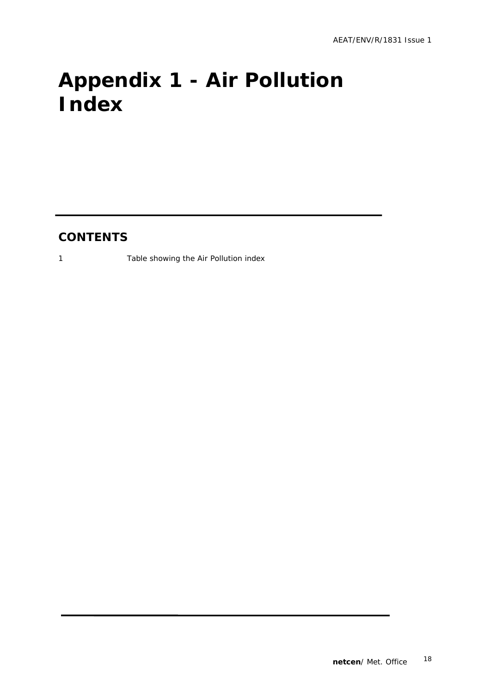# **Appendix 1 - Air Pollution Index**

### **CONTENTS**

1 Table showing the Air Pollution index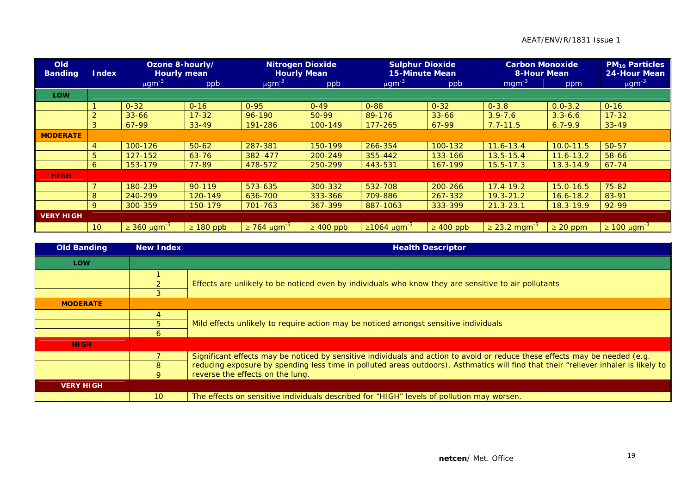#### AEAT/ENV/R/1831 Issue 1

| <b>Old</b><br><b>Banding</b> | <b>Index</b>    | Ozone 8-hourly/<br><b>Hourly mean</b> |                | <b>Nitrogen Dioxide</b><br><b>Hourly Mean</b> |                | <b>Sulphur Dioxide</b><br><b>15-Minute Mean</b> |                | <b>Carbon Monoxide</b><br><b>8-Hour Mean</b> |               | <b>PM<sub>10</sub> Particles</b><br><b>24-Hour Mean</b> |
|------------------------------|-----------------|---------------------------------------|----------------|-----------------------------------------------|----------------|-------------------------------------------------|----------------|----------------------------------------------|---------------|---------------------------------------------------------|
|                              |                 | $\mu$ gm <sup>-3</sup>                | ppb            | $\mu$ gm <sup>-3</sup>                        | ppb            | $\mu$ gm <sup>-3</sup>                          | ppb            | $mgm^{-3}$                                   | ppm           | $\mu$ gm <sup>-3</sup>                                  |
| <b>LOW</b>                   |                 |                                       |                |                                               |                |                                                 |                |                                              |               |                                                         |
|                              |                 | $0 - 32$                              | $0 - 16$       | $0 - 95$                                      | $0 - 49$       | $0 - 88$                                        | $0 - 32$       | $0 - 3.8$                                    | $0.0 - 3.2$   | $0 - 16$                                                |
|                              | $\overline{2}$  | $33 - 66$                             | $17 - 32$      | $96 - 190$                                    | $50-99$        | 89-176                                          | $33 - 66$      | $3.9 - 7.6$                                  | $3.3 - 6.6$   | $17 - 32$                                               |
|                              | 3               | 67-99                                 | $33 - 49$      | 191-286                                       | 100-149        | $177 - 265$                                     | $67-99$        | $7.7 - 11.5$                                 | $6.7 - 9.9$   | $33 - 49$                                               |
| <b>MODERATE</b>              |                 |                                       |                |                                               |                |                                                 |                |                                              |               |                                                         |
|                              | 4               | 100-126                               | $50-62$        | 287-381                                       | 150-199        | 266-354                                         | 100-132        | $11.6 - 13.4$                                | $10.0 - 11.5$ | $50 - 57$                                               |
|                              | 5               | $127 - 152$                           | $63 - 76$      | 382-477                                       | 200-249        | 355-442                                         | 133-166        | $13.5 - 15.4$                                | $11.6 - 13.2$ | 58-66                                                   |
|                              | 6               | 153-179                               | 77-89          | 478-572                                       | 250-299        | 443-531                                         | 167-199        | $15.5 - 17.3$                                | $13.3 - 14.9$ | $67 - 74$                                               |
| <b>HIGH</b>                  |                 |                                       |                |                                               |                |                                                 |                |                                              |               |                                                         |
|                              |                 | 180-239                               | 90-119         | 573-635                                       | 300-332        | 532-708                                         | 200-266        | $17.4 - 19.2$                                | $15.0 - 16.5$ | 75-82                                                   |
|                              | 8               | 240-299                               | 120-149        | 636-700                                       | 333-366        | 709-886                                         | 267-332        | $19.3 - 21.2$                                | $16.6 - 18.2$ | 83-91                                                   |
|                              | 9               | 300-359                               | 150-179        | 701-763                                       | 367-399        | 887-1063                                        | 333-399        | $21.3 - 23.1$                                | $18.3 - 19.9$ | 92-99                                                   |
| <b>VERY HIGH</b>             |                 |                                       |                |                                               |                |                                                 |                |                                              |               |                                                         |
|                              | 10 <sup>°</sup> | $\geq$ 360 µgm <sup>-3</sup>          | $\geq 180$ ppb | $\geq$ 764 μgm <sup>-3</sup>                  | $\geq 400$ ppb | $≥1064 \mu g m-3$                               | $\geq 400$ ppb | $\geq$ 23.2 mgm <sup>-3</sup>                | $\geq$ 20 ppm | $\geq$ 100 μgm <sup>-3</sup>                            |

| <b>Old Banding</b> | New Index       | <b>Health Descriptor</b>                                                                                                            |  |
|--------------------|-----------------|-------------------------------------------------------------------------------------------------------------------------------------|--|
| <b>LOW</b>         |                 |                                                                                                                                     |  |
|                    |                 |                                                                                                                                     |  |
|                    |                 | Effects are unlikely to be noticed even by individuals who know they are sensitive to air pollutants                                |  |
|                    |                 |                                                                                                                                     |  |
| <b>MODERATE</b>    |                 |                                                                                                                                     |  |
|                    |                 |                                                                                                                                     |  |
|                    | 5               | Mild effects unlikely to require action may be noticed amongst sensitive individuals                                                |  |
|                    | 6               |                                                                                                                                     |  |
| <b>HIGH</b>        |                 |                                                                                                                                     |  |
|                    |                 | Significant effects may be noticed by sensitive individuals and action to avoid or reduce these effects may be needed (e.g.         |  |
|                    | 8               | reducing exposure by spending less time in polluted areas outdoors). Asthmatics will find that their "reliever inhaler is likely to |  |
|                    | 9               | reverse the effects on the lung.                                                                                                    |  |
| <b>VERY HIGH</b>   |                 |                                                                                                                                     |  |
|                    | 10 <sup>°</sup> | The effects on sensitive individuals described for "HIGH" levels of pollution may worsen.                                           |  |

**In**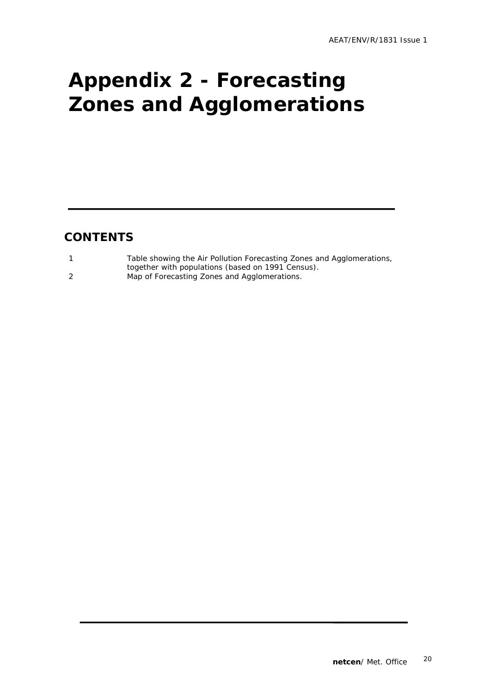# **Appendix 2 - Forecasting Zones and Agglomerations**

### **CONTENTS**

| Table showing the Air Pollution Forecasting Zones and Agglomerations, |
|-----------------------------------------------------------------------|
| together with populations (based on 1991 Census).                     |
| Map of Forecasting Zones and Agglomerations.                          |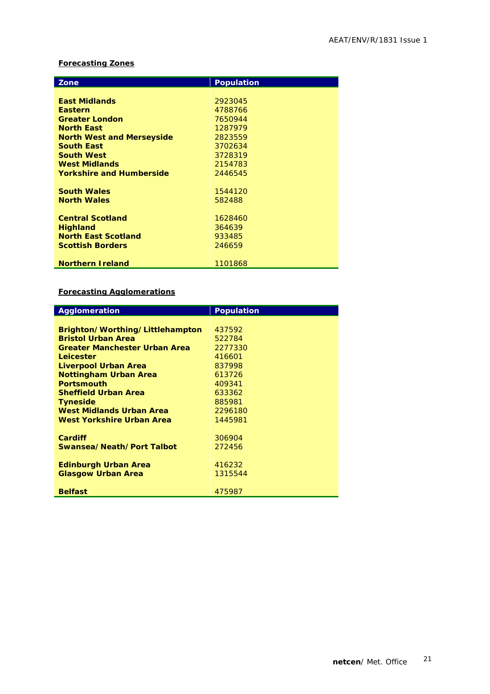#### **Forecasting Zones**

| Zone                             | <b>Population</b> |
|----------------------------------|-------------------|
|                                  |                   |
|                                  |                   |
| <b>East Midlands</b>             | 2923045           |
| <b>Eastern</b>                   | 4788766           |
| <b>Greater London</b>            | 7650944           |
| <b>North East</b>                | 1287979           |
| <b>North West and Merseyside</b> | 2823559           |
| <b>South East</b>                | 3702634           |
| <b>South West</b>                | 3728319           |
| <b>West Midlands</b>             | 2154783           |
| <b>Yorkshire and Humberside</b>  | 2446545           |
|                                  |                   |
| <b>South Wales</b>               | 1544120           |
| <b>North Wales</b>               | 582488            |
|                                  |                   |
| <b>Central Scotland</b>          | 1628460           |
| <b>Highland</b>                  | 364639            |
| <b>North East Scotland</b>       | 933485            |
| <b>Scottish Borders</b>          | 246659            |
|                                  |                   |
| <b>Northern Ireland</b>          | 1101868           |

#### **Forecasting Agglomerations**

| Agglomeration                        | <b>Population</b> |
|--------------------------------------|-------------------|
|                                      |                   |
| Brighton/Worthing/Littlehampton      | 437592            |
| <b>Bristol Urban Area</b>            | 522784            |
| <b>Greater Manchester Urban Area</b> | 2277330           |
| Leicester                            | 416601            |
| Liverpool Urban Area                 | 837998            |
| <b>Nottingham Urban Area</b>         | 613726            |
| <b>Portsmouth</b>                    | 409341            |
| <b>Sheffield Urban Area</b>          | 633362            |
| <b>Tyneside</b>                      | 885981            |
| West Midlands Urban Area             | 2296180           |
| West Yorkshire Urban Area            | 1445981           |
|                                      |                   |
| Cardiff                              | 306904            |
| Swansea/Neath/Port Talbot            | 272456            |
|                                      |                   |
| <b>Edinburgh Urban Area</b>          | 416232            |
| <b>Glasgow Urban Area</b>            | 1315544           |
|                                      |                   |
| <b>Belfast</b>                       | 475987            |